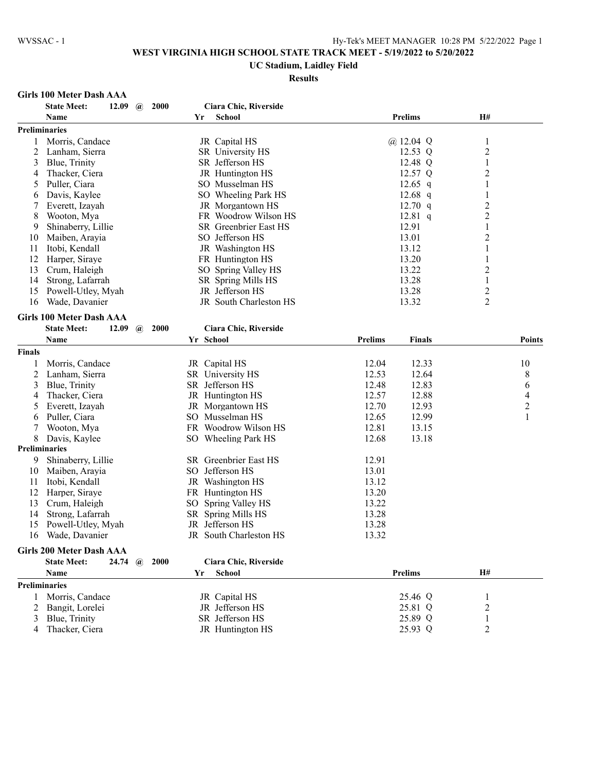#### **UC Stadium, Laidley Field**

#### **Results**

### **Girls 100 Meter Dash AAA**

|               | <b>State Meet:</b><br>2000<br>12.09<br>$\omega$     | Ciara Chic, Riverside   |                                 |                         |                                |
|---------------|-----------------------------------------------------|-------------------------|---------------------------------|-------------------------|--------------------------------|
|               | Name                                                | <b>School</b><br>Yr     | <b>Prelims</b>                  | H#                      |                                |
|               | <b>Preliminaries</b>                                |                         |                                 |                         |                                |
| 1             | Morris, Candace                                     | JR Capital HS           | @ 12.04 $Q$                     | 1                       |                                |
| 2             | Lanham, Sierra                                      | SR University HS        | 12.53 Q                         | $\overline{c}$          |                                |
| 3             | Blue, Trinity                                       | SR Jefferson HS         | 12.48 Q                         | 1                       |                                |
| 4             | Thacker, Ciera                                      | JR Huntington HS        | 12.57 Q                         | $\overline{2}$          |                                |
| 5             | Puller, Ciara                                       | SO Musselman HS         | 12.65 $q$                       | $\mathbf{1}$            |                                |
| 6             | Davis, Kaylee                                       | SO Wheeling Park HS     | $12.68$ q                       | $\mathbf{1}$            |                                |
| 7             | Everett, Izayah                                     | JR Morgantown HS        | $12.70$ q                       | $\overline{c}$          |                                |
| 8             | Wooton, Mya                                         | FR Woodrow Wilson HS    | 12.81 q                         | $\overline{2}$          |                                |
| 9             | Shinaberry, Lillie                                  | SR Greenbrier East HS   | 12.91                           | $\mathbf{1}$            |                                |
| 10            | Maiben, Arayia                                      | SO Jefferson HS         | 13.01                           | $\overline{2}$          |                                |
|               | Itobi, Kendall                                      | JR Washington HS        | 13.12                           | $\mathbf{1}$            |                                |
| 11            |                                                     |                         | 13.20                           |                         |                                |
| 12            | Harper, Siraye                                      | FR Huntington HS        | 13.22                           | $\mathbf{1}$            |                                |
| 13            | Crum, Haleigh                                       | SO Spring Valley HS     |                                 | 2                       |                                |
| 14            | Strong, Lafarrah                                    | SR Spring Mills HS      | 13.28                           | 1                       |                                |
| 15            | Powell-Utley, Myah                                  | JR Jefferson HS         | 13.28                           | $\overline{\mathbf{c}}$ |                                |
| 16            | Wade, Davanier                                      | JR South Charleston HS  | 13.32                           | $\overline{2}$          |                                |
|               | <b>Girls 100 Meter Dash AAA</b>                     |                         |                                 |                         |                                |
|               | <b>State Meet:</b><br>2000<br>12.09<br>$\mathbf{a}$ | Ciara Chic, Riverside   |                                 |                         |                                |
|               | Name                                                | Yr School               | <b>Prelims</b><br><b>Finals</b> |                         | Points                         |
| <b>Finals</b> |                                                     |                         |                                 |                         |                                |
| 1             | Morris, Candace                                     | JR Capital HS           | 12.33<br>12.04                  |                         | 10                             |
| 2             | Lanham, Sierra                                      | SR University HS        | 12.53<br>12.64                  |                         | 8                              |
| 3             | Blue, Trinity                                       | SR Jefferson HS         | 12.83<br>12.48                  |                         | 6                              |
|               | Thacker, Ciera                                      | JR Huntington HS        | 12.57<br>12.88                  |                         | 4                              |
| 4             |                                                     |                         | 12.93                           |                         |                                |
| 5             | Everett, Izayah                                     | JR Morgantown HS        | 12.70                           |                         | $\overline{c}$<br>$\mathbf{1}$ |
| 6             | Puller, Ciara                                       | SO Musselman HS         | 12.65<br>12.99                  |                         |                                |
| 7             | Wooton, Mya                                         | FR Woodrow Wilson HS    | 12.81<br>13.15                  |                         |                                |
| 8             | Davis, Kaylee                                       | SO Wheeling Park HS     | 12.68<br>13.18                  |                         |                                |
|               | <b>Preliminaries</b>                                |                         |                                 |                         |                                |
| 9             | Shinaberry, Lillie                                  | SR Greenbrier East HS   | 12.91                           |                         |                                |
| 10            | Maiben, Arayia                                      | SO Jefferson HS         | 13.01                           |                         |                                |
| 11            | Itobi, Kendall                                      | JR Washington HS        | 13.12                           |                         |                                |
| 12            | Harper, Siraye                                      | FR Huntington HS        | 13.20                           |                         |                                |
| 13            | Crum, Haleigh                                       | SO.<br>Spring Valley HS | 13.22                           |                         |                                |
| 14            | Strong, Lafarrah                                    | SR Spring Mills HS      | 13.28                           |                         |                                |
| 15            | Powell-Utley, Myah                                  | JR Jefferson HS         | 13.28                           |                         |                                |
| 16            | Wade, Davanier                                      | JR South Charleston HS  | 13.32                           |                         |                                |
|               | <b>Girls 200 Meter Dash AAA</b>                     |                         |                                 |                         |                                |
|               | 24.74<br>2000<br><b>State Meet:</b><br>$\omega$     | Ciara Chic, Riverside   |                                 |                         |                                |
|               | Name                                                | <b>School</b><br>Yr     | <b>Prelims</b>                  | H#                      |                                |
|               |                                                     |                         |                                 |                         |                                |
|               | <b>Preliminaries</b>                                |                         |                                 |                         |                                |
| 1             | Morris, Candace                                     | JR Capital HS           | 25.46 Q                         | 1                       |                                |
| 2             | Bangit, Lorelei                                     | JR Jefferson HS         | 25.81 Q                         | 2                       |                                |
| 3             | Blue, Trinity                                       | SR Jefferson HS         | 25.89 Q                         | 1                       |                                |
| 4             | Thacker, Ciera                                      | JR Huntington HS        | 25.93 Q                         | 2                       |                                |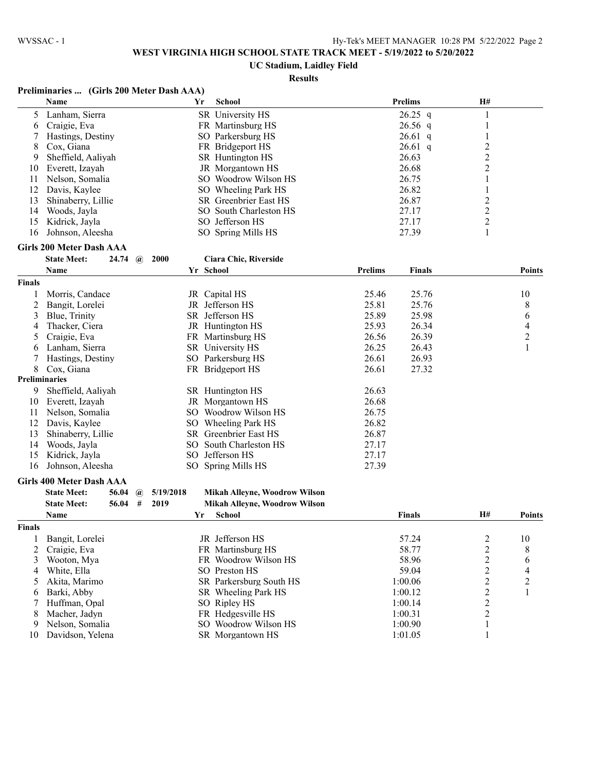# **UC Stadium, Laidley Field**

# **Results**

## **Preliminaries ... (Girls 200 Meter Dash AAA)**

|        | Name                                                | $\sqrt{9113200}$ mitter Dasn't $\frac{1}{2}$<br>Yr | <b>School</b>                                           |                | <b>Prelims</b> | H#             |                |
|--------|-----------------------------------------------------|----------------------------------------------------|---------------------------------------------------------|----------------|----------------|----------------|----------------|
| 5      | Lanham, Sierra                                      |                                                    | SR University HS                                        |                | $26.25$ q      | $\mathbf{1}$   |                |
| 6      | Craigie, Eva                                        |                                                    | FR Martinsburg HS                                       |                | $26.56$ q      | $\mathbf{1}$   |                |
| 7      | Hastings, Destiny                                   |                                                    | SO Parkersburg HS                                       |                | $26.61$ q      | $\mathbf{1}$   |                |
| 8      | Cox, Giana                                          |                                                    | FR Bridgeport HS                                        |                | $26.61$ q      | $\overline{c}$ |                |
| 9      | Sheffield, Aaliyah                                  |                                                    | SR Huntington HS                                        |                | 26.63          | $\overline{c}$ |                |
| 10     | Everett, Izayah                                     |                                                    | JR Morgantown HS                                        |                | 26.68          | 2              |                |
| 11     | Nelson, Somalia                                     |                                                    | SO Woodrow Wilson HS                                    |                | 26.75          |                |                |
| 12     | Davis, Kaylee                                       |                                                    | SO Wheeling Park HS                                     |                | 26.82          | 1              |                |
| 13     | Shinaberry, Lillie                                  |                                                    | SR Greenbrier East HS                                   |                | 26.87          | $\overline{c}$ |                |
| 14     | Woods, Jayla                                        |                                                    | SO South Charleston HS                                  |                | 27.17          | $\overline{c}$ |                |
| 15     | Kidrick, Jayla                                      |                                                    | SO Jefferson HS                                         |                | 27.17          | $\overline{c}$ |                |
| 16     | Johnson, Aleesha                                    |                                                    | SO Spring Mills HS                                      |                | 27.39          | 1              |                |
|        |                                                     |                                                    |                                                         |                |                |                |                |
|        | <b>Girls 200 Meter Dash AAA</b>                     |                                                    |                                                         |                |                |                |                |
|        | <b>State Meet:</b><br>$24.74 \quad \textcircled{a}$ | 2000                                               | Ciara Chic, Riverside                                   |                |                |                |                |
|        | Name                                                |                                                    | Yr School                                               | <b>Prelims</b> | <b>Finals</b>  |                | <b>Points</b>  |
| Finals |                                                     |                                                    |                                                         |                |                |                |                |
| 1      | Morris, Candace                                     |                                                    | JR Capital HS                                           | 25.46          | 25.76          |                | 10             |
| 2      | Bangit, Lorelei                                     |                                                    | JR Jefferson HS                                         | 25.81          | 25.76          |                | 8              |
| 3      | Blue, Trinity                                       |                                                    | SR Jefferson HS                                         | 25.89          | 25.98          |                | 6              |
| 4      | Thacker, Ciera                                      |                                                    | JR Huntington HS                                        | 25.93          | 26.34          |                | $\overline{4}$ |
| 5      | Craigie, Eva                                        |                                                    | FR Martinsburg HS                                       | 26.56          | 26.39          |                | $\overline{c}$ |
| 6      | Lanham, Sierra                                      |                                                    | SR University HS                                        | 26.25          | 26.43          |                | 1              |
| 7      | Hastings, Destiny                                   |                                                    | SO Parkersburg HS                                       | 26.61          | 26.93          |                |                |
| 8      | Cox, Giana                                          |                                                    | FR Bridgeport HS                                        | 26.61          | 27.32          |                |                |
|        | Preliminaries                                       |                                                    |                                                         |                |                |                |                |
| 9      | Sheffield, Aaliyah                                  |                                                    | SR Huntington HS                                        | 26.63          |                |                |                |
| 10     | Everett, Izayah                                     |                                                    | JR Morgantown HS                                        | 26.68          |                |                |                |
| 11     | Nelson, Somalia                                     |                                                    | SO Woodrow Wilson HS                                    | 26.75          |                |                |                |
| 12     | Davis, Kaylee                                       |                                                    | SO Wheeling Park HS                                     | 26.82          |                |                |                |
| 13     | Shinaberry, Lillie                                  |                                                    | SR Greenbrier East HS                                   | 26.87          |                |                |                |
| 14     | Woods, Jayla                                        |                                                    | SO South Charleston HS                                  | 27.17          |                |                |                |
| 15     | Kidrick, Jayla                                      |                                                    | SO Jefferson HS                                         | 27.17          |                |                |                |
| 16     | Johnson, Aleesha                                    |                                                    | SO Spring Mills HS                                      | 27.39          |                |                |                |
|        | <b>Girls 400 Meter Dash AAA</b>                     |                                                    |                                                         |                |                |                |                |
|        | <b>State Meet:</b><br>56.04                         | 5/19/2018                                          |                                                         |                |                |                |                |
|        | $\omega$<br>#<br><b>State Meet:</b><br>56.04        | 2019                                               | Mikah Alleyne, Woodrow Wilson                           |                |                |                |                |
|        | $\mathbf{M}$ and $\mathbf{M}$                       |                                                    | Mikah Alleyne, Woodrow Wilson<br>$V_{\text{eff}} = 0.1$ |                | 172. 1 .       | TТЩ            | n.,            |

|               | <b>Name</b>      | Yr | <b>School</b>           | <b>Finals</b> | <b>H#</b> | Points |
|---------------|------------------|----|-------------------------|---------------|-----------|--------|
| <b>Finals</b> |                  |    |                         |               |           |        |
|               | Bangit, Lorelei  |    | JR Jefferson HS         | 57.24         |           | 10     |
|               | 2 Craigie, Eva   |    | FR Martinsburg HS       | 58.77         |           | 8      |
|               | Wooton, Mya      |    | FR Woodrow Wilson HS    | 58.96         |           | b      |
| 4             | White, Ella      |    | SO Preston HS           | 59.04         |           | 4      |
|               | Akita. Marimo    |    | SR Parkersburg South HS | 1:00.06       |           | ◠      |
| 6.            | Barki, Abby      |    | SR Wheeling Park HS     | 1:00.12       |           |        |
|               | Huffman, Opal    |    | SO Ripley HS            | 1:00.14       |           |        |
| 8             | Macher, Jadyn    |    | FR Hedgesville HS       | 1:00.31       |           |        |
| 9             | Nelson, Somalia  |    | SO Woodrow Wilson HS    | 1:00.90       |           |        |
| 10            | Davidson, Yelena |    | SR Morgantown HS        | 1:01.05       |           |        |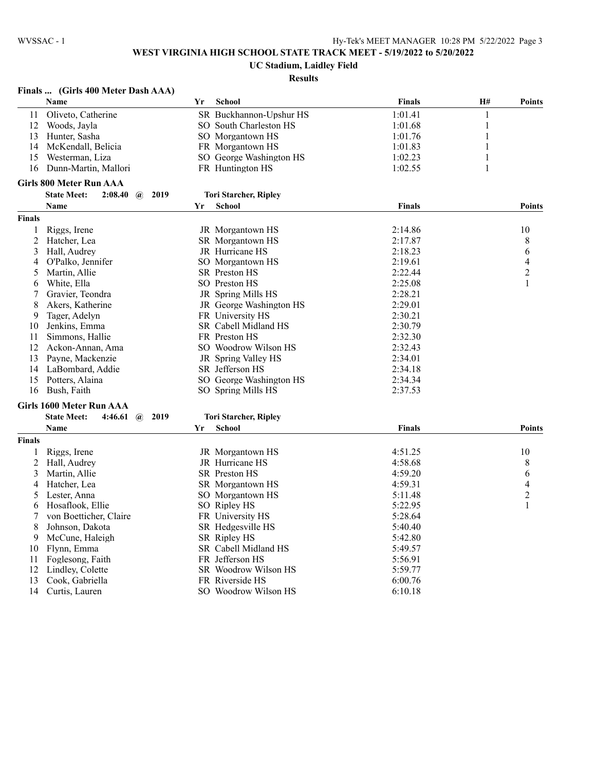## **UC Stadium, Laidley Field**

### **Results**

## **Finals ... (Girls 400 Meter Dash AAA)**

|                | Name                                              | Yr | <b>School</b>                | <b>Finals</b> | H# | <b>Points</b>  |
|----------------|---------------------------------------------------|----|------------------------------|---------------|----|----------------|
| 11             | Oliveto, Catherine                                |    | SR Buckhannon-Upshur HS      | 1:01.41       | 1  |                |
| 12             | Woods, Jayla                                      |    | SO South Charleston HS       | 1:01.68       | 1  |                |
| 13             | Hunter, Sasha                                     |    | SO Morgantown HS             | 1:01.76       | 1  |                |
| 14             | McKendall, Belicia                                |    | FR Morgantown HS             | 1:01.83       | 1  |                |
| 15             | Westerman, Liza                                   |    | SO George Washington HS      | 1:02.23       | 1  |                |
| 16             | Dunn-Martin, Mallori                              |    | FR Huntington HS             | 1:02.55       | 1  |                |
|                | <b>Girls 800 Meter Run AAA</b>                    |    |                              |               |    |                |
|                | <b>State Meet:</b><br>2:08.40<br>$\omega$<br>2019 |    | <b>Tori Starcher, Ripley</b> |               |    |                |
|                | Name                                              | Yr | <b>School</b>                | Finals        |    | <b>Points</b>  |
| <b>Finals</b>  |                                                   |    |                              |               |    |                |
| 1              | Riggs, Irene                                      |    | JR Morgantown HS             | 2:14.86       |    | 10             |
| $\overline{c}$ | Hatcher, Lea                                      |    | <b>SR</b> Morgantown HS      | 2:17.87       |    | 8              |
| 3              | Hall, Audrey                                      |    | JR Hurricane HS              | 2:18.23       |    | 6              |
| 4              | O'Palko, Jennifer                                 |    | SO Morgantown HS             | 2:19.61       |    | $\overline{4}$ |
| 5              | Martin, Allie                                     |    | SR Preston HS                | 2:22.44       |    | $\overline{c}$ |
| 6              | White, Ella                                       |    | SO Preston HS                | 2:25.08       |    | 1              |
| 7              | Gravier, Teondra                                  |    | JR Spring Mills HS           | 2:28.21       |    |                |
| 8              | Akers, Katherine                                  |    | JR George Washington HS      | 2:29.01       |    |                |
| 9              | Tager, Adelyn                                     |    | FR University HS             | 2:30.21       |    |                |
| 10             | Jenkins, Emma                                     |    | SR Cabell Midland HS         | 2:30.79       |    |                |
| 11             | Simmons, Hallie                                   |    | FR Preston HS                | 2:32.30       |    |                |
| 12             | Ackon-Annan, Ama                                  |    | SO Woodrow Wilson HS         | 2:32.43       |    |                |
| 13             | Payne, Mackenzie                                  |    | JR Spring Valley HS          | 2:34.01       |    |                |
| 14             | LaBombard, Addie                                  |    | SR Jefferson HS              | 2:34.18       |    |                |
| 15             | Potters, Alaina                                   |    | SO George Washington HS      | 2:34.34       |    |                |
| 16             | Bush, Faith                                       |    | SO Spring Mills HS           | 2:37.53       |    |                |
|                | <b>Girls 1600 Meter Run AAA</b>                   |    |                              |               |    |                |
|                | <b>State Meet:</b><br>4:46.61<br>2019<br>$\omega$ |    | <b>Tori Starcher, Ripley</b> |               |    |                |
|                | Name                                              | Yr | <b>School</b>                | <b>Finals</b> |    | <b>Points</b>  |
| <b>Finals</b>  |                                                   |    |                              |               |    |                |
| 1              | Riggs, Irene                                      |    | JR Morgantown HS             | 4:51.25       |    | 10             |
| 2              | Hall, Audrey                                      |    | JR Hurricane HS              | 4:58.68       |    | 8              |
| 3              | Martin, Allie                                     |    | SR Preston HS                | 4:59.20       |    | 6              |
| 4              | Hatcher, Lea                                      |    | SR Morgantown HS             | 4:59.31       |    | $\overline{4}$ |
| 5              | Lester, Anna                                      |    | SO Morgantown HS             | 5:11.48       |    | $\overline{c}$ |
| 6              | Hosaflook, Ellie                                  |    | SO Ripley HS                 | 5:22.95       |    | 1              |
| 7              | von Boetticher, Claire                            |    | FR University HS             | 5:28.64       |    |                |
| 8              | Johnson, Dakota                                   |    | SR Hedgesville HS            | 5:40.40       |    |                |
| 9              | McCune, Haleigh                                   |    | SR Ripley HS                 | 5:42.80       |    |                |
| 10             | Flynn, Emma                                       |    | SR Cabell Midland HS         | 5:49.57       |    |                |
| 11             | Foglesong, Faith                                  |    | FR Jefferson HS              | 5:56.91       |    |                |
| 12             | Lindley, Colette                                  |    | SR Woodrow Wilson HS         | 5:59.77       |    |                |

12 SR Woodrow Wilson HS<br>
12 12 12 12 12 12 12 12 12 12 12 13 14 15 16:00.76<br>
5:59.77<br>
5:00.76

Cook, Gabriella FR Riverside HS 6:00.76

SO Woodrow Wilson HS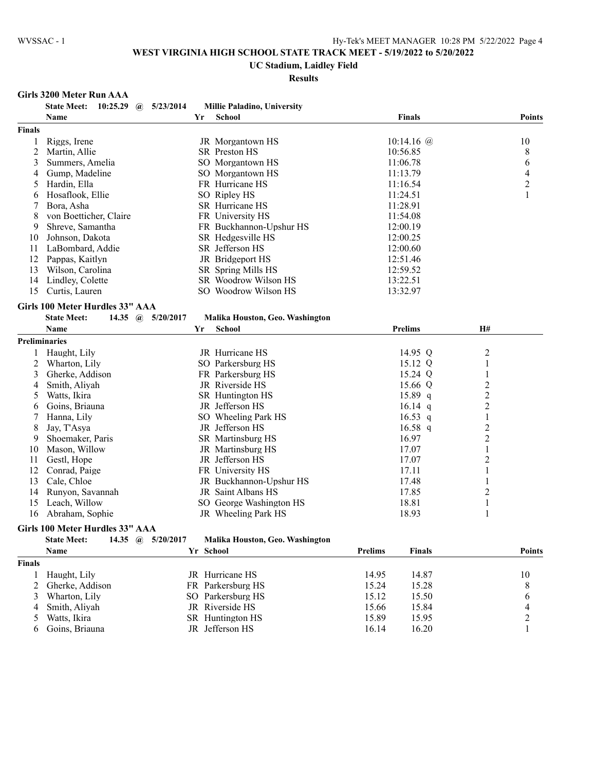#### **UC Stadium, Laidley Field**

**Results**

## **Girls 3200 Meter Run AAA**

|                | 10:25.29<br><b>State Meet:</b><br>5/23/2014<br>$\omega$                             | Millie Paladino, University     |                                 |                  |
|----------------|-------------------------------------------------------------------------------------|---------------------------------|---------------------------------|------------------|
|                | <b>Name</b>                                                                         | Yr<br><b>School</b>             | <b>Finals</b>                   | <b>Points</b>    |
| <b>Finals</b>  |                                                                                     |                                 |                                 |                  |
| 1              | Riggs, Irene                                                                        | JR Morgantown HS                | 10:14.16 $@$                    | 10               |
| $\overline{c}$ | Martin, Allie                                                                       | SR Preston HS                   | 10:56.85                        | 8                |
| 3              | Summers, Amelia                                                                     | SO Morgantown HS                | 11:06.78                        | 6                |
| 4              | Gump, Madeline                                                                      | SO Morgantown HS                | 11:13.79                        | 4                |
| 5              | Hardin, Ella                                                                        | FR Hurricane HS                 | 11:16.54                        | $\boldsymbol{2}$ |
| 6              | Hosaflook, Ellie                                                                    | SO Ripley HS                    | 11:24.51                        | $\mathbf{1}$     |
| 7              | Bora, Asha                                                                          | SR Hurricane HS                 | 11:28.91                        |                  |
| 8              | von Boetticher, Claire                                                              | FR University HS                | 11:54.08                        |                  |
| 9              | Shreve, Samantha                                                                    | FR Buckhannon-Upshur HS         | 12:00.19                        |                  |
| 10             | Johnson, Dakota                                                                     | SR Hedgesville HS               | 12:00.25                        |                  |
| 11             | LaBombard, Addie                                                                    | SR Jefferson HS                 | 12:00.60                        |                  |
| 12             | Pappas, Kaitlyn                                                                     | JR Bridgeport HS                | 12:51.46                        |                  |
| 13             | Wilson, Carolina                                                                    | SR Spring Mills HS              | 12:59.52                        |                  |
| 14             | Lindley, Colette                                                                    | SR Woodrow Wilson HS            | 13:22.51                        |                  |
| 15             | Curtis, Lauren                                                                      | SO Woodrow Wilson HS            | 13:32.97                        |                  |
|                |                                                                                     |                                 |                                 |                  |
|                | Girls 100 Meter Hurdles 33" AAA                                                     |                                 |                                 |                  |
|                | <b>State Meet:</b><br>14.35<br>5/20/2017<br>$\mathbf{a}$                            | Malika Houston, Geo. Washington |                                 |                  |
|                | Name                                                                                | Yr<br><b>School</b>             | <b>Prelims</b>                  | <b>H#</b>        |
|                | <b>Preliminaries</b>                                                                |                                 |                                 |                  |
|                | Haught, Lily                                                                        | JR Hurricane HS                 | 14.95 Q                         | $\overline{c}$   |
| 2              | Wharton, Lily                                                                       | SO Parkersburg HS               | 15.12 Q                         | $\,1\,$          |
| 3              | Gherke, Addison                                                                     | FR Parkersburg HS               | 15.24 Q                         | $\mathbf{1}$     |
| 4              | Smith, Aliyah                                                                       | JR Riverside HS                 | 15.66 Q                         | $\overline{c}$   |
| 5              | Watts, Ikira                                                                        | SR Huntington HS                | 15.89 q                         | $\overline{c}$   |
| 6              | Goins, Briauna                                                                      | JR Jefferson HS                 | 16.14 $q$                       | $\overline{c}$   |
| 7              | Hanna, Lily                                                                         | SO Wheeling Park HS             | 16.53 q                         | $\mathbf{1}$     |
| 8              | Jay, T'Asya                                                                         | JR Jefferson HS                 | $16.58$ q                       | $\overline{c}$   |
| 9              | Shoemaker, Paris                                                                    | SR Martinsburg HS               | 16.97                           | $\overline{c}$   |
| 10             | Mason, Willow                                                                       | JR Martinsburg HS               | 17.07                           | $\mathbf{1}$     |
| 11             | Gestl, Hope                                                                         | JR Jefferson HS                 | 17.07                           | $\overline{c}$   |
| 12             | Conrad, Paige                                                                       | FR University HS                | 17.11                           | 1                |
| 13             | Cale, Chloe                                                                         | JR Buckhannon-Upshur HS         | 17.48                           | $\mathbf{1}$     |
| 14             | Runyon, Savannah                                                                    | JR Saint Albans HS              | 17.85                           | $\overline{c}$   |
| 15             | Leach, Willow                                                                       | SO George Washington HS         | 18.81                           | $\mathbf{1}$     |
| 16             | Abraham, Sophie                                                                     | JR Wheeling Park HS             | 18.93                           | 1                |
|                | Girls 100 Meter Hurdles 33" AAA                                                     |                                 |                                 |                  |
|                | <b>State Meet:</b><br>14.35<br>5/20/2017<br>$\left(\widehat{\boldsymbol{a}}\right)$ | Malika Houston, Geo. Washington |                                 |                  |
|                | Name                                                                                | Yr School                       | <b>Prelims</b><br><b>Finals</b> | <b>Points</b>    |
| <b>Finals</b>  |                                                                                     |                                 |                                 |                  |

| 1218          |                   |                   |       |       |  |
|---------------|-------------------|-------------------|-------|-------|--|
|               | Haught, Lily      | JR Hurricane HS   | 14.95 | 14.87 |  |
|               | 2 Gherke, Addison | FR Parkersburg HS | 15.24 | 15.28 |  |
| $\mathcal{E}$ | Wharton, Lily     | SO Parkersburg HS | 15.12 | 15.50 |  |
|               | 4 Smith, Aliyah   | JR Riverside HS   | 15.66 | 15.84 |  |
|               | 5 Watts, Ikira    | SR Huntington HS  | 15.89 | 15.95 |  |
|               | 6 Goins, Briauna  | JR Jefferson HS   | 16.14 | 16.20 |  |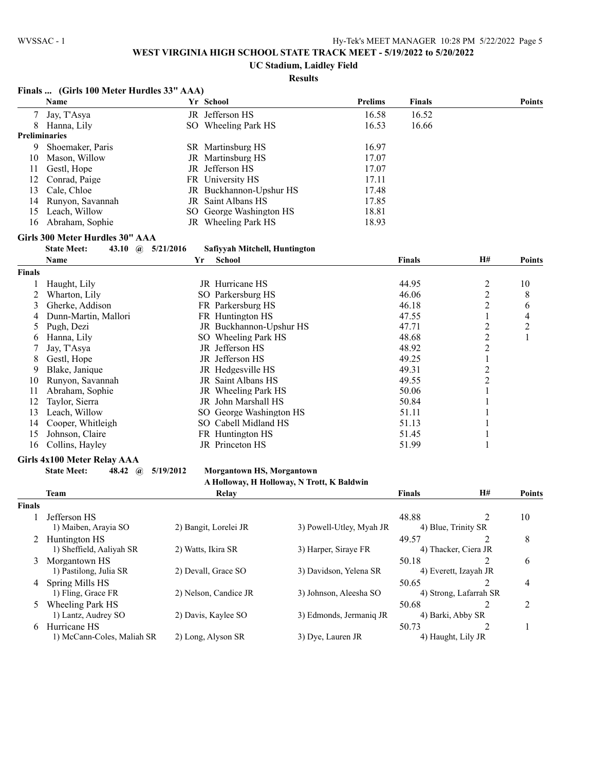**Finals ... (Girls 100 Meter Hurdles 33" AAA)**

# **WEST VIRGINIA HIGH SCHOOL STATE TRACK MEET - 5/19/2022 to 5/20/2022**

## **UC Stadium, Laidley Field**

# **Results**

|               | Name                                 |           | Yr School                        | <b>Prelims</b>                             | <b>Finals</b> |                         | <b>Points</b>  |
|---------------|--------------------------------------|-----------|----------------------------------|--------------------------------------------|---------------|-------------------------|----------------|
| $\tau$        | Jay, T'Asya                          |           | JR Jefferson HS                  | 16.58                                      | 16.52         |                         |                |
| 8             | Hanna, Lily                          |           | SO Wheeling Park HS              | 16.53                                      | 16.66         |                         |                |
|               | <b>Preliminaries</b>                 |           |                                  |                                            |               |                         |                |
| 9             | Shoemaker, Paris                     |           | SR Martinsburg HS                | 16.97                                      |               |                         |                |
| 10            | Mason, Willow                        |           | JR Martinsburg HS                | 17.07                                      |               |                         |                |
| 11            | Gestl, Hope                          |           | JR Jefferson HS                  | 17.07                                      |               |                         |                |
| 12            | Conrad, Paige                        |           | FR University HS                 | 17.11                                      |               |                         |                |
| 13            | Cale, Chloe                          |           | JR Buckhannon-Upshur HS          | 17.48                                      |               |                         |                |
| 14            | Runyon, Savannah                     |           | JR Saint Albans HS               | 17.85                                      |               |                         |                |
| 15            | Leach, Willow                        |           | SO George Washington HS          | 18.81                                      |               |                         |                |
| 16            | Abraham, Sophie                      |           | JR Wheeling Park HS              | 18.93                                      |               |                         |                |
|               |                                      |           |                                  |                                            |               |                         |                |
|               | Girls 300 Meter Hurdles 30" AAA      |           |                                  |                                            |               |                         |                |
|               | <b>State Meet:</b><br>43.10 $\omega$ | 5/21/2016 | Safiyyah Mitchell, Huntington    |                                            |               |                         |                |
|               | Name                                 | Yr        | <b>School</b>                    |                                            | Finals        | H#                      | <b>Points</b>  |
| <b>Finals</b> |                                      |           |                                  |                                            |               |                         |                |
| 1             | Haught, Lily                         |           | JR Hurricane HS                  |                                            | 44.95         | 2                       | 10             |
| 2             | Wharton, Lily                        |           | SO Parkersburg HS                |                                            | 46.06         | $\overline{c}$          | 8              |
| 3             | Gherke, Addison                      |           | FR Parkersburg HS                |                                            | 46.18         | $\overline{c}$          | 6              |
| 4             | Dunn-Martin, Mallori                 |           | FR Huntington HS                 |                                            | 47.55         | 1                       | 4              |
| 5             | Pugh, Dezi                           |           | JR Buckhannon-Upshur HS          |                                            | 47.71         | $\overline{c}$          | $\overline{c}$ |
| 6             | Hanna, Lily                          |           | SO Wheeling Park HS              |                                            | 48.68         | $\overline{c}$          | $\mathbf{1}$   |
| 7             | Jay, T'Asya                          |           | JR Jefferson HS                  |                                            | 48.92         | $\overline{\mathbf{c}}$ |                |
| 8             | Gestl, Hope                          |           | JR Jefferson HS                  |                                            | 49.25         | $\mathbf{1}$            |                |
| 9             | Blake, Janique                       |           | JR Hedgesville HS                |                                            | 49.31         | $\overline{c}$          |                |
| 10            | Runyon, Savannah                     |           | JR Saint Albans HS               |                                            | 49.55         | $\overline{c}$          |                |
| 11            | Abraham, Sophie                      |           | JR Wheeling Park HS              |                                            | 50.06         | $\mathbf{1}$            |                |
| 12            | Taylor, Sierra                       |           | JR John Marshall HS              |                                            | 50.84         | 1                       |                |
| 13            | Leach, Willow                        |           | SO George Washington HS          |                                            | 51.11         | 1                       |                |
| 14            | Cooper, Whitleigh                    |           | SO Cabell Midland HS             |                                            | 51.13         | 1                       |                |
| 15            | Johnson, Claire                      |           | FR Huntington HS                 |                                            | 51.45         | 1                       |                |
| 16            | Collins, Hayley                      |           | JR Princeton HS                  |                                            | 51.99         | 1                       |                |
|               | <b>Girls 4x100 Meter Relay AAA</b>   |           |                                  |                                            |               |                         |                |
|               | <b>State Meet:</b><br>48.42 $(a)$    | 5/19/2012 | <b>Morgantown HS, Morgantown</b> |                                            |               |                         |                |
|               |                                      |           |                                  | A Holloway, H Holloway, N Trott, K Baldwin |               |                         |                |
|               | <b>Team</b>                          |           | Relay                            |                                            | <b>Finals</b> | <b>H#</b>               | <b>Points</b>  |
|               |                                      |           |                                  |                                            |               |                         |                |
| <b>Finals</b> |                                      |           |                                  |                                            |               |                         |                |
| 1             | Jefferson HS                         |           |                                  |                                            | 48.88         | $\overline{2}$          | 10             |
|               | 1) Maiben, Arayia SO                 |           | 2) Bangit, Lorelei JR            | 3) Powell-Utley, Myah JR                   |               | 4) Blue, Trinity SR     |                |
| 2             | Huntington HS                        |           |                                  |                                            | 49.57         | 2                       | 8              |
|               | 1) Sheffield, Aaliyah SR             |           | 2) Watts, Ikira SR               | 3) Harper, Siraye FR                       |               | 4) Thacker, Ciera JR    |                |
|               | 3 Morgantown HS                      |           |                                  |                                            | 50.18         | 2                       | 6              |
|               | 1) Pastilong, Julia SR               |           | 2) Devall, Grace SO              | 3) Davidson, Yelena SR                     |               | 4) Everett, Izayah JR   |                |
| 4             | Spring Mills HS                      |           |                                  |                                            | 50.65         | 2                       | 4              |
|               | 1) Fling, Grace FR                   |           | 2) Nelson, Candice JR            | 3) Johnson, Aleesha SO                     |               | 4) Strong, Lafarrah SR  |                |
| $\mathcal{D}$ | <b>Wheeling Park HS</b>              |           |                                  |                                            | 50.68         | 2                       | 2              |
|               | 1) Lantz, Audrey SO                  |           | 2) Davis, Kaylee SO              | 3) Edmonds, Jermaniq JR                    |               | 4) Barki, Abby SR       |                |
| 6             | Hurricane HS                         |           |                                  |                                            | 50.73         | 2                       | 1              |
|               | 1) McCann-Coles, Maliah SR           |           | 2) Long, Alyson SR               | 3) Dye, Lauren JR                          |               | 4) Haught, Lily JR      |                |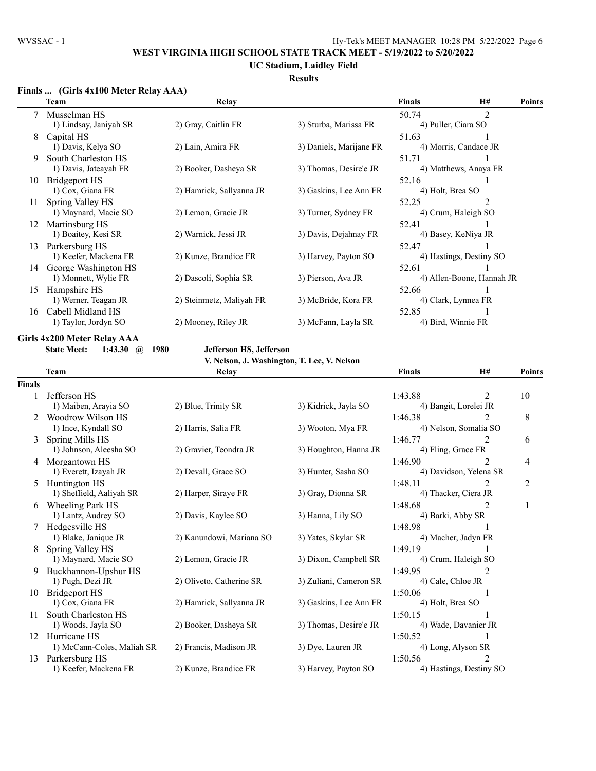**UC Stadium, Laidley Field**

### **Results**

### **Finals ... (Girls 4x100 Meter Relay AAA)**

|    | Team                   | Relay                    |                         | <b>Finals</b>    | H#                        | <b>Points</b> |
|----|------------------------|--------------------------|-------------------------|------------------|---------------------------|---------------|
|    | 7 Musselman HS         |                          |                         | 50.74            | $\overline{2}$            |               |
|    | 1) Lindsay, Janiyah SR | 2) Gray, Caitlin FR      | 3) Sturba, Marissa FR   |                  | 4) Puller, Ciara SO       |               |
| 8  | Capital HS             |                          |                         | 51.63            |                           |               |
|    | 1) Davis, Kelya SO     | 2) Lain, Amira FR        | 3) Daniels, Marijane FR |                  | 4) Morris, Candace JR     |               |
| 9  | South Charleston HS    |                          |                         | 51.71            |                           |               |
|    | 1) Davis, Jateayah FR  | 2) Booker, Dasheya SR    | 3) Thomas, Desire'e JR  |                  | 4) Matthews, Anaya FR     |               |
| 10 | Bridgeport HS          |                          |                         | 52.16            |                           |               |
|    | 1) Cox, Giana FR       | 2) Hamrick, Sallyanna JR | 3) Gaskins, Lee Ann FR  | 4) Holt, Brea SO |                           |               |
| 11 | Spring Valley HS       |                          |                         | 52.25            | 2                         |               |
|    | 1) Maynard, Macie SO   | 2) Lemon, Gracie JR      | 3) Turner, Sydney FR    |                  | 4) Crum, Haleigh SO       |               |
| 12 | Martinsburg HS         |                          |                         | 52.41            |                           |               |
|    | 1) Boaitey, Kesi SR    | 2) Warnick, Jessi JR     | 3) Davis, Dejahnay FR   |                  | 4) Basey, KeNiya JR       |               |
| 13 | Parkersburg HS         |                          |                         | 52.47            |                           |               |
|    | 1) Keefer, Mackena FR  | 2) Kunze, Brandice FR    | 3) Harvey, Payton SO    |                  | 4) Hastings, Destiny SO   |               |
| 14 | George Washington HS   |                          |                         | 52.61            |                           |               |
|    | 1) Monnett, Wylie FR   | 2) Dascoli, Sophia SR    | 3) Pierson, Ava JR      |                  | 4) Allen-Boone, Hannah JR |               |
| 15 | Hampshire HS           |                          |                         | 52.66            |                           |               |
|    | 1) Werner, Teagan JR   | 2) Steinmetz, Maliyah FR | 3) McBride, Kora FR     |                  | 4) Clark, Lynnea FR       |               |
| 16 | Cabell Midland HS      |                          |                         | 52.85            |                           |               |
|    | 1) Taylor, Jordyn SO   | 2) Mooney, Riley JR      | 3) McFann, Layla SR     |                  | 4) Bird, Winnie FR        |               |

### **Girls 4x200 Meter Relay AAA**

**State Meet: 1:43.30 @ 1980 Jefferson HS, Jefferson**

**V. Nelson, J. Washington, T. Lee, V. Nelson**

|               |                            | V. Nelson, J. Washington, T. Lee, V. Nelson |                        |                    |                         |               |
|---------------|----------------------------|---------------------------------------------|------------------------|--------------------|-------------------------|---------------|
|               | <b>Team</b>                | Relay                                       |                        | <b>Finals</b>      | H#                      | <b>Points</b> |
| <b>Finals</b> |                            |                                             |                        |                    |                         |               |
|               | Jefferson HS               |                                             |                        | 1:43.88            | $\overline{2}$          | 10            |
|               | 1) Maiben, Arayia SO       | 2) Blue, Trinity SR                         | 3) Kidrick, Jayla SO   |                    | 4) Bangit, Lorelei JR   |               |
|               | Woodrow Wilson HS          |                                             |                        | 1:46.38            | 2                       | 8             |
|               | 1) Ince, Kyndall SO        | 2) Harris, Salia FR                         | 3) Wooton, Mya FR      |                    | 4) Nelson, Somalia SO   |               |
| 3             | Spring Mills HS            |                                             |                        | 1:46.77            | $\mathfrak{D}$          | 6             |
|               | 1) Johnson, Aleesha SO     | 2) Gravier, Teondra JR                      | 3) Houghton, Hanna JR  | 4) Fling, Grace FR |                         |               |
| 4             | Morgantown HS              |                                             |                        | 1:46.90            | $\overline{2}$          | 4             |
|               | 1) Everett, Izayah JR      | 2) Devall, Grace SO                         | 3) Hunter, Sasha SO    |                    | 4) Davidson, Yelena SR  |               |
| 5.            | Huntington HS              |                                             |                        | 1:48.11            | $\mathfrak{D}$          | 2             |
|               | 1) Sheffield, Aaliyah SR   | 2) Harper, Siraye FR                        | 3) Gray, Dionna SR     |                    | 4) Thacker, Ciera JR    |               |
| 6             | Wheeling Park HS           |                                             |                        | 1:48.68            | $\overline{2}$          |               |
|               | 1) Lantz, Audrey SO        | 2) Davis, Kaylee SO                         | 3) Hanna, Lily SO      | 4) Barki, Abby SR  |                         |               |
|               | Hedgesville HS             |                                             |                        | 1:48.98            |                         |               |
|               | 1) Blake, Janique JR       | 2) Kanundowi, Mariana SO                    | 3) Yates, Skylar SR    |                    | 4) Macher, Jadyn FR     |               |
| 8             | Spring Valley HS           |                                             |                        | 1:49.19            |                         |               |
|               | 1) Maynard, Macie SO       | 2) Lemon, Gracie JR                         | 3) Dixon, Campbell SR  |                    | 4) Crum, Haleigh SO     |               |
| 9             | Buckhannon-Upshur HS       |                                             |                        | 1:49.95            | $\overline{2}$          |               |
|               | 1) Pugh, Dezi JR           | 2) Oliveto, Catherine SR                    | 3) Zuliani, Cameron SR | 4) Cale, Chloe JR  |                         |               |
| 10            | <b>Bridgeport HS</b>       |                                             |                        | 1:50.06            |                         |               |
|               | 1) Cox, Giana FR           | 2) Hamrick, Sallyanna JR                    | 3) Gaskins, Lee Ann FR | 4) Holt, Brea SO   |                         |               |
| 11            | South Charleston HS        |                                             |                        | 1:50.15            |                         |               |
|               | 1) Woods, Jayla SO         | 2) Booker, Dasheya SR                       | 3) Thomas, Desire'e JR |                    | 4) Wade, Davanier JR    |               |
| 12            | Hurricane HS               |                                             |                        | 1:50.52            |                         |               |
|               | 1) McCann-Coles, Maliah SR | 2) Francis, Madison JR                      | 3) Dye, Lauren JR      | 4) Long, Alyson SR |                         |               |
| 13            | Parkersburg HS             |                                             |                        | 1:50.56            | $\mathfrak{D}$          |               |
|               | 1) Keefer, Mackena FR      | 2) Kunze, Brandice FR                       | 3) Harvey, Payton SO   |                    | 4) Hastings, Destiny SO |               |
|               |                            |                                             |                        |                    |                         |               |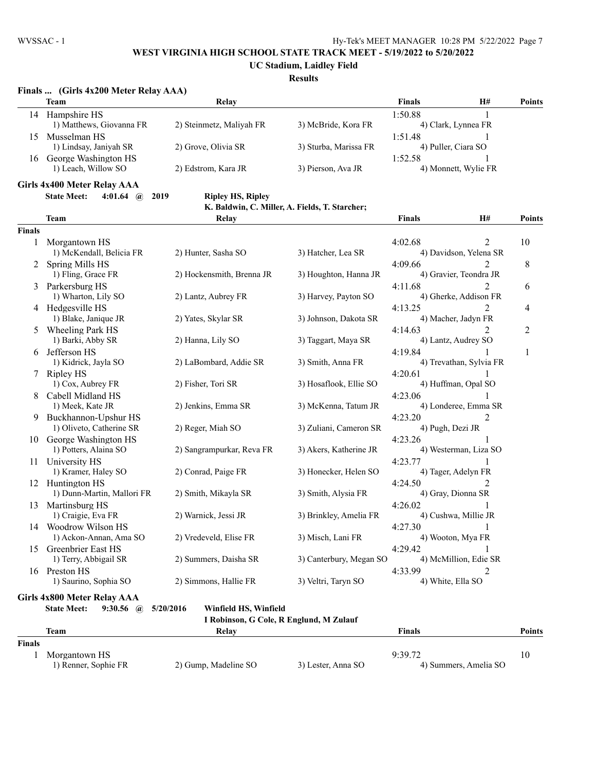**UC Stadium, Laidley Field**

# **Results**

|  |  | Finals  (Girls 4x200 Meter Relay AAA) |  |
|--|--|---------------------------------------|--|
|--|--|---------------------------------------|--|

|    | <b>Team</b>              | Relav                    |                       | <b>Finals</b> | H#                   | <b>Points</b> |
|----|--------------------------|--------------------------|-----------------------|---------------|----------------------|---------------|
| 14 | Hampshire HS             |                          |                       | 1:50.88       |                      |               |
|    | 1) Matthews, Giovanna FR | 2) Steinmetz, Maliyah FR | 3) McBride, Kora FR   |               | 4) Clark, Lynnea FR  |               |
| 5  | Musselman HS             |                          |                       | 1:51.48       |                      |               |
|    | 1) Lindsay, Janiyah SR   | 2) Grove, Olivia SR      | 3) Sturba, Marissa FR |               | 4) Puller, Ciara SO  |               |
| 16 | George Washington HS     |                          |                       | 1:52.58       |                      |               |
|    | 1) Leach, Willow SO      | 2) Edstrom, Kara JR      | 3) Pierson, Ava JR    |               | 4) Monnett, Wylie FR |               |

### **Girls 4x400 Meter Relay AAA State Meet: 4:01.64 @ 2019 Ripley HS, Ripley**

### **K. Baldwin, C. Miller, A. Fields, T. Starcher;**

|               | <b>Team</b>                               | <b>Relay</b>                            |                         | <b>Finals</b>                     | H#                          | <b>Points</b>  |
|---------------|-------------------------------------------|-----------------------------------------|-------------------------|-----------------------------------|-----------------------------|----------------|
| <b>Finals</b> |                                           |                                         |                         |                                   |                             |                |
| 1             | Morgantown HS<br>1) McKendall, Belicia FR | 2) Hunter, Sasha SO                     | 3) Hatcher, Lea SR      | 4:02.68<br>4) Davidson, Yelena SR | $\mathcal{D}_{\mathcal{L}}$ | 10             |
| 2             | Spring Mills HS                           |                                         |                         | 4:09.66                           |                             | $\,$ $\,$      |
|               | 1) Fling, Grace FR                        | 2) Hockensmith, Brenna JR               | 3) Houghton, Hanna JR   | 4) Gravier, Teondra JR            |                             |                |
| 3             | Parkersburg HS                            |                                         |                         | 4:11.68                           |                             | 6              |
|               | 1) Wharton, Lily SO                       | 2) Lantz, Aubrey FR                     | 3) Harvey, Payton SO    | 4) Gherke, Addison FR             |                             |                |
|               | 4 Hedgesville HS                          |                                         |                         | 4:13.25                           |                             | 4              |
|               | 1) Blake, Janique JR                      | 2) Yates, Skylar SR                     | 3) Johnson, Dakota SR   | 4) Macher, Jadyn FR               |                             |                |
| 5.            | Wheeling Park HS                          |                                         |                         | 4:14.63                           |                             | $\overline{c}$ |
|               | 1) Barki, Abby SR                         | 2) Hanna, Lily SO                       | 3) Taggart, Maya SR     | 4) Lantz, Audrey SO               |                             |                |
| 6             | Jefferson HS                              |                                         |                         | 4:19.84                           |                             | 1              |
|               | 1) Kidrick, Jayla SO                      | 2) LaBombard, Addie SR                  | 3) Smith, Anna FR       | 4) Trevathan, Sylvia FR           |                             |                |
| $\tau$        | Ripley HS                                 |                                         |                         | 4:20.61                           |                             |                |
|               | 1) Cox, Aubrey FR                         | 2) Fisher, Tori SR                      | 3) Hosaflook, Ellie SO  | 4) Huffman, Opal SO               |                             |                |
| 8             | Cabell Midland HS                         |                                         |                         | 4:23.06                           |                             |                |
|               | 1) Meek, Kate JR                          | 2) Jenkins, Emma SR                     | 3) McKenna, Tatum JR    | 4) Londeree, Emma SR              |                             |                |
| 9.            | Buckhannon-Upshur HS                      |                                         |                         | 4:23.20                           | $\overline{2}$              |                |
|               | 1) Oliveto, Catherine SR                  | 2) Reger, Miah SO                       | 3) Zuliani, Cameron SR  | 4) Pugh, Dezi JR                  |                             |                |
| 10            | George Washington HS                      |                                         |                         | 4:23.26                           |                             |                |
|               | 1) Potters, Alaina SO                     | 2) Sangrampurkar, Reva FR               | 3) Akers, Katherine JR  | 4) Westerman, Liza SO             |                             |                |
| 11            | University HS                             |                                         |                         | 4:23.77                           |                             |                |
|               | 1) Kramer, Haley SO                       | 2) Conrad, Paige FR                     | 3) Honecker, Helen SO   | 4) Tager, Adelyn FR               |                             |                |
| 12            | Huntington HS                             |                                         |                         | 4:24.50                           |                             |                |
|               | 1) Dunn-Martin, Mallori FR                | 2) Smith, Mikayla SR                    | 3) Smith, Alysia FR     | 4) Gray, Dionna SR                |                             |                |
| 13            | Martinsburg HS                            |                                         |                         | 4:26.02                           |                             |                |
|               | 1) Craigie, Eva FR                        | 2) Warnick, Jessi JR                    | 3) Brinkley, Amelia FR  | 4) Cushwa, Millie JR              |                             |                |
|               | 14 Woodrow Wilson HS                      |                                         |                         | 4:27.30                           |                             |                |
|               | 1) Ackon-Annan, Ama SO                    | 2) Vredeveld, Elise FR                  | 3) Misch, Lani FR       | 4) Wooton, Mya FR                 |                             |                |
| 15            | Greenbrier East HS                        | 2) Summers, Daisha SR                   | 3) Canterbury, Megan SO | 4:29.42                           |                             |                |
|               | 1) Terry, Abbigail SR                     |                                         |                         | 4) McMillion, Edie SR             |                             |                |
|               | 16 Preston HS<br>1) Saurino, Sophia SO    | 2) Simmons, Hallie FR                   | 3) Veltri, Taryn SO     | 4:33.99<br>4) White, Ella SO      | 2                           |                |
|               |                                           |                                         |                         |                                   |                             |                |
|               | <b>Girls 4x800 Meter Relay AAA</b>        |                                         |                         |                                   |                             |                |
|               | <b>State Meet:</b><br>$9:30.56$ (a)       | 5/20/2016<br>Winfield HS, Winfield      |                         |                                   |                             |                |
|               |                                           | I Robinson, G Cole, R Englund, M Zulauf |                         |                                   |                             |                |

|               | <b>Team</b>          | Relav                |                    | Finals                | <b>Points</b> |
|---------------|----------------------|----------------------|--------------------|-----------------------|---------------|
| <b>Finals</b> |                      |                      |                    |                       |               |
|               | Morgantown HS        |                      |                    | 9:39.72               | 10            |
|               | 1) Renner, Sophie FR | 2) Gump, Madeline SO | 3) Lester, Anna SO | 4) Summers, Amelia SO |               |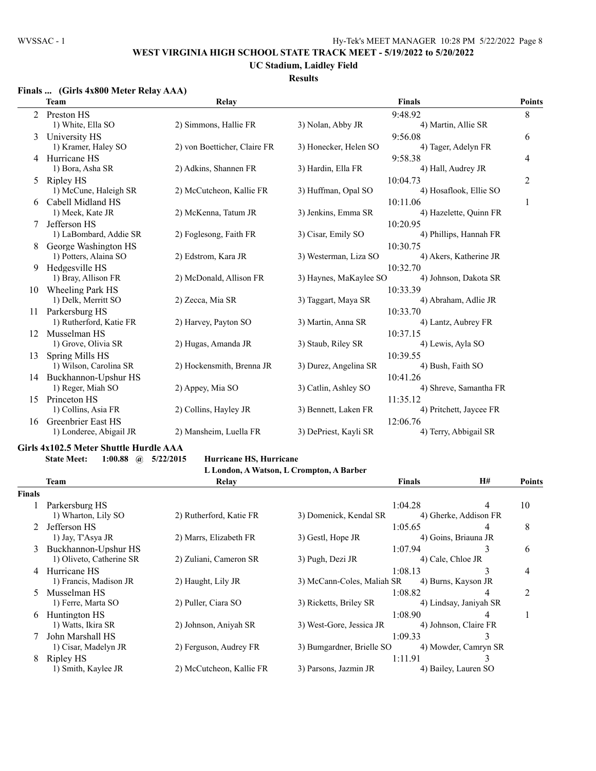# **UC Stadium, Laidley Field**

## **Results**

## **Finals ... (Girls 4x800 Meter Relay AAA)**

|                | <b>Team</b>             | Relay                        |                        | <b>Finals</b>           | <b>Points</b> |
|----------------|-------------------------|------------------------------|------------------------|-------------------------|---------------|
| $\mathfrak{2}$ | Preston HS              |                              |                        | 9:48.92                 | 8             |
|                | 1) White, Ella SO       | 2) Simmons, Hallie FR        | 3) Nolan, Abby JR      | 4) Martin, Allie SR     |               |
| 3              | University HS           |                              |                        | 9:56.08                 | 6             |
|                | 1) Kramer, Haley SO     | 2) von Boetticher, Claire FR | 3) Honecker, Helen SO  | 4) Tager, Adelyn FR     |               |
| 4              | Hurricane HS            |                              |                        | 9:58.38                 | 4             |
|                | 1) Bora, Asha SR        | 2) Adkins, Shannen FR        | 3) Hardin, Ella FR     | 4) Hall, Audrey JR      |               |
| 5              | Ripley HS               |                              |                        | 10:04.73                | 2             |
|                | 1) McCune, Haleigh SR   | 2) McCutcheon, Kallie FR     | 3) Huffman, Opal SO    | 4) Hosaflook, Ellie SO  |               |
| 6              | Cabell Midland HS       |                              |                        | 10:11.06                | 1             |
|                | 1) Meek, Kate JR        | 2) McKenna, Tatum JR         | 3) Jenkins, Emma SR    | 4) Hazelette, Quinn FR  |               |
| 7              | Jefferson HS            |                              |                        | 10:20.95                |               |
|                | 1) LaBombard, Addie SR  | 2) Foglesong, Faith FR       | 3) Cisar, Emily SO     | 4) Phillips, Hannah FR  |               |
| 8              | George Washington HS    |                              |                        | 10:30.75                |               |
|                | 1) Potters, Alaina SO   | 2) Edstrom, Kara JR          | 3) Westerman, Liza SO  | 4) Akers, Katherine JR  |               |
| 9              | Hedgesville HS          |                              |                        | 10:32.70                |               |
|                | 1) Bray, Allison FR     | 2) McDonald, Allison FR      | 3) Haynes, MaKaylee SO | 4) Johnson, Dakota SR   |               |
| 10             | <b>Wheeling Park HS</b> |                              |                        | 10:33.39                |               |
|                | 1) Delk, Merritt SO     | 2) Zecca, Mia SR             | 3) Taggart, Maya SR    | 4) Abraham, Adlie JR    |               |
| 11             | Parkersburg HS          |                              |                        | 10:33.70                |               |
|                | 1) Rutherford, Katie FR | 2) Harvey, Payton SO         | 3) Martin, Anna SR     | 4) Lantz, Aubrey FR     |               |
| 12             | Musselman HS            |                              |                        | 10:37.15                |               |
|                | 1) Grove, Olivia SR     | 2) Hugas, Amanda JR          | 3) Staub, Riley SR     | 4) Lewis, Ayla SO       |               |
| 13             | Spring Mills HS         |                              |                        | 10:39.55                |               |
|                | 1) Wilson, Carolina SR  | 2) Hockensmith, Brenna JR    | 3) Durez, Angelina SR  | 4) Bush, Faith SO       |               |
| 14             | Buckhannon-Upshur HS    |                              |                        | 10:41.26                |               |
|                | 1) Reger, Miah SO       | 2) Appey, Mia SO             | 3) Catlin, Ashley SO   | 4) Shreve, Samantha FR  |               |
| 15             | Princeton HS            |                              |                        | 11:35.12                |               |
|                | 1) Collins, Asia FR     | 2) Collins, Hayley JR        | 3) Bennett, Laken FR   | 4) Pritchett, Jaycee FR |               |
| 16             | Greenbrier East HS      |                              |                        | 12:06.76                |               |
|                | 1) Londeree, Abigail JR | 2) Mansheim, Luella FR       | 3) DePriest, Kayli SR  | 4) Terry, Abbigail SR   |               |

### **Girls 4x102.5 Meter Shuttle Hurdle AAA**

**State Meet: 1:00.88 @ 5/22/2015 Hurricane HS, Hurricane**

**L London, A Watson, L Crompton, A Barber**

|        | <b>Team</b>                                      | Relay                    |                            | <b>Finals</b>                | H#                         | <b>Points</b> |
|--------|--------------------------------------------------|--------------------------|----------------------------|------------------------------|----------------------------|---------------|
| Finals |                                                  |                          |                            |                              |                            |               |
|        | Parkersburg HS<br>1) Wharton, Lily SO            | 2) Rutherford, Katie FR  | 3) Domenick, Kendal SR     | 1:04.28                      | 4<br>4) Gherke, Addison FR | 10            |
|        | Jefferson HS                                     |                          |                            | 1:05.65                      | 4                          | 8             |
|        | 1) Jay, T'Asya JR                                | 2) Marrs, Elizabeth FR   | 3) Gestl, Hope JR          |                              | 4) Goins, Briauna JR       |               |
| 3      | Buckhannon-Upshur HS<br>1) Oliveto, Catherine SR | 2) Zuliani, Cameron SR   | 3) Pugh, Dezi JR           | 1:07.94<br>4) Cale, Chloe JR | 3                          | 6             |
| 4      | Hurricane HS<br>1) Francis, Madison JR           | 2) Haught, Lily JR       | 3) McCann-Coles, Maliah SR | 1:08.13                      | 3<br>4) Burns, Kayson JR   | 4             |
| 5      | Musselman HS                                     |                          |                            | 1:08.82                      | 4                          | 2             |
|        | 1) Ferre, Marta SO                               | 2) Puller, Ciara SO      | 3) Ricketts, Briley SR     |                              | 4) Lindsay, Janiyah SR     |               |
| 6      | Huntington HS<br>1) Watts, Ikira SR              | 2) Johnson, Aniyah SR    | 3) West-Gore, Jessica JR   | 1:08.90                      | 4<br>4) Johnson, Claire FR |               |
|        | John Marshall HS<br>1) Cisar, Madelyn JR         | 2) Ferguson, Audrey FR   | 3) Bumgardner, Brielle SO  | 1:09.33                      | 4) Mowder, Camryn SR       |               |
| 8      | Ripley HS                                        |                          |                            | 1:11.91                      |                            |               |
|        | 1) Smith, Kaylee JR                              | 2) McCutcheon, Kallie FR | 3) Parsons, Jazmin JR      |                              | 4) Bailey, Lauren SO       |               |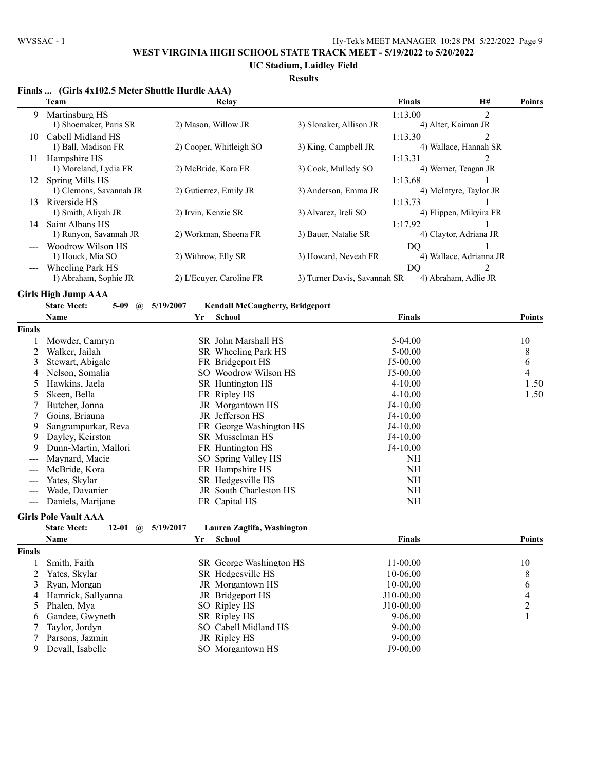**UC Stadium, Laidley Field**

#### **Results**

| $\overline{2}$<br>1:13.00<br>9<br>Martinsburg HS<br>1) Shoemaker, Paris SR<br>2) Mason, Willow JR<br>3) Slonaker, Allison JR<br>4) Alter, Kaiman JR<br>$\overline{2}$<br>10 Cabell Midland HS<br>1:13.30<br>2) Cooper, Whitleigh SO<br>3) King, Campbell JR<br>4) Wallace, Hannah SR<br>1) Ball, Madison FR<br>2<br>11 Hampshire HS<br>1:13.31<br>2) McBride, Kora FR<br>3) Cook, Mulledy SO<br>4) Werner, Teagan JR<br>1) Moreland, Lydia FR<br>Spring Mills HS<br>1:13.68<br>1<br>12<br>1) Clemons, Savannah JR<br>2) Gutierrez, Emily JR<br>3) Anderson, Emma JR<br>4) McIntyre, Taylor JR<br>Riverside HS<br>1:13.73<br>1<br>13<br>1) Smith, Aliyah JR<br>3) Alvarez, Ireli SO<br>2) Irvin, Kenzie SR<br>4) Flippen, Mikyira FR<br>Saint Albans HS<br>1:17.92<br>14<br>1) Runyon, Savannah JR<br>2) Workman, Sheena FR<br>3) Bauer, Natalie SR<br>4) Claytor, Adriana JR<br>Woodrow Wilson HS<br>DO<br>1) Houck, Mia SO<br>3) Howard, Neveah FR<br>4) Wallace, Adrianna JR<br>2) Withrow, Elly SR<br>$\overline{2}$<br><b>Wheeling Park HS</b><br>DQ<br>1) Abraham, Sophie JR<br>3) Turner Davis, Savannah SR<br>4) Abraham, Adlie JR<br>2) L'Ecuyer, Caroline FR<br><b>Girls High Jump AAA</b><br><b>State Meet:</b><br>$5-09$<br>5/19/2007<br><b>Kendall McCaugherty, Bridgeport</b><br>$\mathbf{a}$<br>School<br>Name<br>Yr<br><b>Finals</b><br><b>Points</b><br><b>Finals</b><br>SR John Marshall HS<br>Mowder, Camryn<br>$5-04.00$<br>10<br>1<br>2<br>Walker, Jailah<br>SR Wheeling Park HS<br>$5 - 00.00$<br>8<br>6<br>Stewart, Abigale<br>FR Bridgeport HS<br>$J5-00.00$<br>3<br>4<br>Nelson, Somalia<br>SO Woodrow Wilson HS<br>$J5-00.00$<br>4<br>5<br>Hawkins, Jaela<br>SR Huntington HS<br>$4 - 10.00$<br>1.50<br>1.50<br>5<br>Skeen, Bella<br>FR Ripley HS<br>$4 - 10.00$<br>Butcher, Jonna<br>JR Morgantown HS<br>7<br>$J4-10.00$<br>JR Jefferson HS<br>Goins, Briauna<br>$J4-10.00$<br>7<br>Sangrampurkar, Reva<br>FR George Washington HS<br>J4-10.00<br>9<br>Dayley, Keirston<br>SR Musselman HS<br>$J4-10.00$<br>9<br>9<br>Dunn-Martin, Mallori<br>FR Huntington HS<br>J4-10.00<br>Maynard, Macie<br>SO Spring Valley HS<br><b>NH</b><br>McBride, Kora<br>FR Hampshire HS<br><b>NH</b><br>Yates, Skylar<br>SR Hedgesville HS<br><b>NH</b><br>---<br><b>NH</b><br>Wade, Davanier<br>JR South Charleston HS<br>$---$<br><b>NH</b><br>Daniels, Marijane<br>FR Capital HS<br>$---$<br><b>Girls Pole Vault AAA</b><br><b>State Meet:</b><br>5/19/2017<br>Lauren Zaglifa, Washington<br>12-01<br>$\omega$<br><b>School</b><br><b>Points</b><br>Name<br>Yr<br><b>Finals</b><br><b>Finals</b><br>Smith, Faith<br>SR George Washington HS<br>11-00.00<br>10<br>1<br>2<br>Yates, Skylar<br>SR Hedgesville HS<br>10-06.00<br>8<br>JR Morgantown HS<br>6<br>Ryan, Morgan<br>10-00.00<br>3<br>JR Bridgeport HS<br>4<br>Hamrick, Sallyanna<br>J10-00.00<br>4<br>$\overline{c}$<br>Phalen, Mya<br>SO Ripley HS<br>J10-00.00<br>5<br>SR Ripley HS<br>Gandee, Gwyneth<br>$9 - 06.00$<br>1<br>6<br>SO Cabell Midland HS<br>Taylor, Jordyn<br>$9 - 00.00$<br>7<br>Parsons, Jazmin<br>JR Ripley HS<br>$9 - 00.00$<br>7<br>Devall, Isabelle<br>SO Morgantown HS<br>J9-00.00<br>9 | Finals  (Girls 4x102.5 Meter Shuttle Hurdle AAA)<br><b>Team</b> | Relay | <b>Finals</b> | H# | <b>Points</b> |
|----------------------------------------------------------------------------------------------------------------------------------------------------------------------------------------------------------------------------------------------------------------------------------------------------------------------------------------------------------------------------------------------------------------------------------------------------------------------------------------------------------------------------------------------------------------------------------------------------------------------------------------------------------------------------------------------------------------------------------------------------------------------------------------------------------------------------------------------------------------------------------------------------------------------------------------------------------------------------------------------------------------------------------------------------------------------------------------------------------------------------------------------------------------------------------------------------------------------------------------------------------------------------------------------------------------------------------------------------------------------------------------------------------------------------------------------------------------------------------------------------------------------------------------------------------------------------------------------------------------------------------------------------------------------------------------------------------------------------------------------------------------------------------------------------------------------------------------------------------------------------------------------------------------------------------------------------------------------------------------------------------------------------------------------------------------------------------------------------------------------------------------------------------------------------------------------------------------------------------------------------------------------------------------------------------------------------------------------------------------------------------------------------------------------------------------------------------------------------------------------------------------------------------------------------------------------------------------------------------------------------------------------------------------------------------------------------------------------------------------------------------------------------------------------------------------------------------------------------------------------------------------------------------------------------------------------------------------------------------------------------------------------------------------------------------------------------------------------------------------------------------------------------------------------------------|-----------------------------------------------------------------|-------|---------------|----|---------------|
|                                                                                                                                                                                                                                                                                                                                                                                                                                                                                                                                                                                                                                                                                                                                                                                                                                                                                                                                                                                                                                                                                                                                                                                                                                                                                                                                                                                                                                                                                                                                                                                                                                                                                                                                                                                                                                                                                                                                                                                                                                                                                                                                                                                                                                                                                                                                                                                                                                                                                                                                                                                                                                                                                                                                                                                                                                                                                                                                                                                                                                                                                                                                                                                  |                                                                 |       |               |    |               |
|                                                                                                                                                                                                                                                                                                                                                                                                                                                                                                                                                                                                                                                                                                                                                                                                                                                                                                                                                                                                                                                                                                                                                                                                                                                                                                                                                                                                                                                                                                                                                                                                                                                                                                                                                                                                                                                                                                                                                                                                                                                                                                                                                                                                                                                                                                                                                                                                                                                                                                                                                                                                                                                                                                                                                                                                                                                                                                                                                                                                                                                                                                                                                                                  |                                                                 |       |               |    |               |
|                                                                                                                                                                                                                                                                                                                                                                                                                                                                                                                                                                                                                                                                                                                                                                                                                                                                                                                                                                                                                                                                                                                                                                                                                                                                                                                                                                                                                                                                                                                                                                                                                                                                                                                                                                                                                                                                                                                                                                                                                                                                                                                                                                                                                                                                                                                                                                                                                                                                                                                                                                                                                                                                                                                                                                                                                                                                                                                                                                                                                                                                                                                                                                                  |                                                                 |       |               |    |               |
|                                                                                                                                                                                                                                                                                                                                                                                                                                                                                                                                                                                                                                                                                                                                                                                                                                                                                                                                                                                                                                                                                                                                                                                                                                                                                                                                                                                                                                                                                                                                                                                                                                                                                                                                                                                                                                                                                                                                                                                                                                                                                                                                                                                                                                                                                                                                                                                                                                                                                                                                                                                                                                                                                                                                                                                                                                                                                                                                                                                                                                                                                                                                                                                  |                                                                 |       |               |    |               |
|                                                                                                                                                                                                                                                                                                                                                                                                                                                                                                                                                                                                                                                                                                                                                                                                                                                                                                                                                                                                                                                                                                                                                                                                                                                                                                                                                                                                                                                                                                                                                                                                                                                                                                                                                                                                                                                                                                                                                                                                                                                                                                                                                                                                                                                                                                                                                                                                                                                                                                                                                                                                                                                                                                                                                                                                                                                                                                                                                                                                                                                                                                                                                                                  |                                                                 |       |               |    |               |
|                                                                                                                                                                                                                                                                                                                                                                                                                                                                                                                                                                                                                                                                                                                                                                                                                                                                                                                                                                                                                                                                                                                                                                                                                                                                                                                                                                                                                                                                                                                                                                                                                                                                                                                                                                                                                                                                                                                                                                                                                                                                                                                                                                                                                                                                                                                                                                                                                                                                                                                                                                                                                                                                                                                                                                                                                                                                                                                                                                                                                                                                                                                                                                                  |                                                                 |       |               |    |               |
|                                                                                                                                                                                                                                                                                                                                                                                                                                                                                                                                                                                                                                                                                                                                                                                                                                                                                                                                                                                                                                                                                                                                                                                                                                                                                                                                                                                                                                                                                                                                                                                                                                                                                                                                                                                                                                                                                                                                                                                                                                                                                                                                                                                                                                                                                                                                                                                                                                                                                                                                                                                                                                                                                                                                                                                                                                                                                                                                                                                                                                                                                                                                                                                  |                                                                 |       |               |    |               |
|                                                                                                                                                                                                                                                                                                                                                                                                                                                                                                                                                                                                                                                                                                                                                                                                                                                                                                                                                                                                                                                                                                                                                                                                                                                                                                                                                                                                                                                                                                                                                                                                                                                                                                                                                                                                                                                                                                                                                                                                                                                                                                                                                                                                                                                                                                                                                                                                                                                                                                                                                                                                                                                                                                                                                                                                                                                                                                                                                                                                                                                                                                                                                                                  |                                                                 |       |               |    |               |
|                                                                                                                                                                                                                                                                                                                                                                                                                                                                                                                                                                                                                                                                                                                                                                                                                                                                                                                                                                                                                                                                                                                                                                                                                                                                                                                                                                                                                                                                                                                                                                                                                                                                                                                                                                                                                                                                                                                                                                                                                                                                                                                                                                                                                                                                                                                                                                                                                                                                                                                                                                                                                                                                                                                                                                                                                                                                                                                                                                                                                                                                                                                                                                                  |                                                                 |       |               |    |               |
|                                                                                                                                                                                                                                                                                                                                                                                                                                                                                                                                                                                                                                                                                                                                                                                                                                                                                                                                                                                                                                                                                                                                                                                                                                                                                                                                                                                                                                                                                                                                                                                                                                                                                                                                                                                                                                                                                                                                                                                                                                                                                                                                                                                                                                                                                                                                                                                                                                                                                                                                                                                                                                                                                                                                                                                                                                                                                                                                                                                                                                                                                                                                                                                  |                                                                 |       |               |    |               |
|                                                                                                                                                                                                                                                                                                                                                                                                                                                                                                                                                                                                                                                                                                                                                                                                                                                                                                                                                                                                                                                                                                                                                                                                                                                                                                                                                                                                                                                                                                                                                                                                                                                                                                                                                                                                                                                                                                                                                                                                                                                                                                                                                                                                                                                                                                                                                                                                                                                                                                                                                                                                                                                                                                                                                                                                                                                                                                                                                                                                                                                                                                                                                                                  |                                                                 |       |               |    |               |
|                                                                                                                                                                                                                                                                                                                                                                                                                                                                                                                                                                                                                                                                                                                                                                                                                                                                                                                                                                                                                                                                                                                                                                                                                                                                                                                                                                                                                                                                                                                                                                                                                                                                                                                                                                                                                                                                                                                                                                                                                                                                                                                                                                                                                                                                                                                                                                                                                                                                                                                                                                                                                                                                                                                                                                                                                                                                                                                                                                                                                                                                                                                                                                                  |                                                                 |       |               |    |               |
|                                                                                                                                                                                                                                                                                                                                                                                                                                                                                                                                                                                                                                                                                                                                                                                                                                                                                                                                                                                                                                                                                                                                                                                                                                                                                                                                                                                                                                                                                                                                                                                                                                                                                                                                                                                                                                                                                                                                                                                                                                                                                                                                                                                                                                                                                                                                                                                                                                                                                                                                                                                                                                                                                                                                                                                                                                                                                                                                                                                                                                                                                                                                                                                  |                                                                 |       |               |    |               |
|                                                                                                                                                                                                                                                                                                                                                                                                                                                                                                                                                                                                                                                                                                                                                                                                                                                                                                                                                                                                                                                                                                                                                                                                                                                                                                                                                                                                                                                                                                                                                                                                                                                                                                                                                                                                                                                                                                                                                                                                                                                                                                                                                                                                                                                                                                                                                                                                                                                                                                                                                                                                                                                                                                                                                                                                                                                                                                                                                                                                                                                                                                                                                                                  |                                                                 |       |               |    |               |
|                                                                                                                                                                                                                                                                                                                                                                                                                                                                                                                                                                                                                                                                                                                                                                                                                                                                                                                                                                                                                                                                                                                                                                                                                                                                                                                                                                                                                                                                                                                                                                                                                                                                                                                                                                                                                                                                                                                                                                                                                                                                                                                                                                                                                                                                                                                                                                                                                                                                                                                                                                                                                                                                                                                                                                                                                                                                                                                                                                                                                                                                                                                                                                                  |                                                                 |       |               |    |               |
|                                                                                                                                                                                                                                                                                                                                                                                                                                                                                                                                                                                                                                                                                                                                                                                                                                                                                                                                                                                                                                                                                                                                                                                                                                                                                                                                                                                                                                                                                                                                                                                                                                                                                                                                                                                                                                                                                                                                                                                                                                                                                                                                                                                                                                                                                                                                                                                                                                                                                                                                                                                                                                                                                                                                                                                                                                                                                                                                                                                                                                                                                                                                                                                  |                                                                 |       |               |    |               |
|                                                                                                                                                                                                                                                                                                                                                                                                                                                                                                                                                                                                                                                                                                                                                                                                                                                                                                                                                                                                                                                                                                                                                                                                                                                                                                                                                                                                                                                                                                                                                                                                                                                                                                                                                                                                                                                                                                                                                                                                                                                                                                                                                                                                                                                                                                                                                                                                                                                                                                                                                                                                                                                                                                                                                                                                                                                                                                                                                                                                                                                                                                                                                                                  |                                                                 |       |               |    |               |
|                                                                                                                                                                                                                                                                                                                                                                                                                                                                                                                                                                                                                                                                                                                                                                                                                                                                                                                                                                                                                                                                                                                                                                                                                                                                                                                                                                                                                                                                                                                                                                                                                                                                                                                                                                                                                                                                                                                                                                                                                                                                                                                                                                                                                                                                                                                                                                                                                                                                                                                                                                                                                                                                                                                                                                                                                                                                                                                                                                                                                                                                                                                                                                                  |                                                                 |       |               |    |               |
|                                                                                                                                                                                                                                                                                                                                                                                                                                                                                                                                                                                                                                                                                                                                                                                                                                                                                                                                                                                                                                                                                                                                                                                                                                                                                                                                                                                                                                                                                                                                                                                                                                                                                                                                                                                                                                                                                                                                                                                                                                                                                                                                                                                                                                                                                                                                                                                                                                                                                                                                                                                                                                                                                                                                                                                                                                                                                                                                                                                                                                                                                                                                                                                  |                                                                 |       |               |    |               |
|                                                                                                                                                                                                                                                                                                                                                                                                                                                                                                                                                                                                                                                                                                                                                                                                                                                                                                                                                                                                                                                                                                                                                                                                                                                                                                                                                                                                                                                                                                                                                                                                                                                                                                                                                                                                                                                                                                                                                                                                                                                                                                                                                                                                                                                                                                                                                                                                                                                                                                                                                                                                                                                                                                                                                                                                                                                                                                                                                                                                                                                                                                                                                                                  |                                                                 |       |               |    |               |
|                                                                                                                                                                                                                                                                                                                                                                                                                                                                                                                                                                                                                                                                                                                                                                                                                                                                                                                                                                                                                                                                                                                                                                                                                                                                                                                                                                                                                                                                                                                                                                                                                                                                                                                                                                                                                                                                                                                                                                                                                                                                                                                                                                                                                                                                                                                                                                                                                                                                                                                                                                                                                                                                                                                                                                                                                                                                                                                                                                                                                                                                                                                                                                                  |                                                                 |       |               |    |               |
|                                                                                                                                                                                                                                                                                                                                                                                                                                                                                                                                                                                                                                                                                                                                                                                                                                                                                                                                                                                                                                                                                                                                                                                                                                                                                                                                                                                                                                                                                                                                                                                                                                                                                                                                                                                                                                                                                                                                                                                                                                                                                                                                                                                                                                                                                                                                                                                                                                                                                                                                                                                                                                                                                                                                                                                                                                                                                                                                                                                                                                                                                                                                                                                  |                                                                 |       |               |    |               |
|                                                                                                                                                                                                                                                                                                                                                                                                                                                                                                                                                                                                                                                                                                                                                                                                                                                                                                                                                                                                                                                                                                                                                                                                                                                                                                                                                                                                                                                                                                                                                                                                                                                                                                                                                                                                                                                                                                                                                                                                                                                                                                                                                                                                                                                                                                                                                                                                                                                                                                                                                                                                                                                                                                                                                                                                                                                                                                                                                                                                                                                                                                                                                                                  |                                                                 |       |               |    |               |
|                                                                                                                                                                                                                                                                                                                                                                                                                                                                                                                                                                                                                                                                                                                                                                                                                                                                                                                                                                                                                                                                                                                                                                                                                                                                                                                                                                                                                                                                                                                                                                                                                                                                                                                                                                                                                                                                                                                                                                                                                                                                                                                                                                                                                                                                                                                                                                                                                                                                                                                                                                                                                                                                                                                                                                                                                                                                                                                                                                                                                                                                                                                                                                                  |                                                                 |       |               |    |               |
|                                                                                                                                                                                                                                                                                                                                                                                                                                                                                                                                                                                                                                                                                                                                                                                                                                                                                                                                                                                                                                                                                                                                                                                                                                                                                                                                                                                                                                                                                                                                                                                                                                                                                                                                                                                                                                                                                                                                                                                                                                                                                                                                                                                                                                                                                                                                                                                                                                                                                                                                                                                                                                                                                                                                                                                                                                                                                                                                                                                                                                                                                                                                                                                  |                                                                 |       |               |    |               |
|                                                                                                                                                                                                                                                                                                                                                                                                                                                                                                                                                                                                                                                                                                                                                                                                                                                                                                                                                                                                                                                                                                                                                                                                                                                                                                                                                                                                                                                                                                                                                                                                                                                                                                                                                                                                                                                                                                                                                                                                                                                                                                                                                                                                                                                                                                                                                                                                                                                                                                                                                                                                                                                                                                                                                                                                                                                                                                                                                                                                                                                                                                                                                                                  |                                                                 |       |               |    |               |
|                                                                                                                                                                                                                                                                                                                                                                                                                                                                                                                                                                                                                                                                                                                                                                                                                                                                                                                                                                                                                                                                                                                                                                                                                                                                                                                                                                                                                                                                                                                                                                                                                                                                                                                                                                                                                                                                                                                                                                                                                                                                                                                                                                                                                                                                                                                                                                                                                                                                                                                                                                                                                                                                                                                                                                                                                                                                                                                                                                                                                                                                                                                                                                                  |                                                                 |       |               |    |               |
|                                                                                                                                                                                                                                                                                                                                                                                                                                                                                                                                                                                                                                                                                                                                                                                                                                                                                                                                                                                                                                                                                                                                                                                                                                                                                                                                                                                                                                                                                                                                                                                                                                                                                                                                                                                                                                                                                                                                                                                                                                                                                                                                                                                                                                                                                                                                                                                                                                                                                                                                                                                                                                                                                                                                                                                                                                                                                                                                                                                                                                                                                                                                                                                  |                                                                 |       |               |    |               |
|                                                                                                                                                                                                                                                                                                                                                                                                                                                                                                                                                                                                                                                                                                                                                                                                                                                                                                                                                                                                                                                                                                                                                                                                                                                                                                                                                                                                                                                                                                                                                                                                                                                                                                                                                                                                                                                                                                                                                                                                                                                                                                                                                                                                                                                                                                                                                                                                                                                                                                                                                                                                                                                                                                                                                                                                                                                                                                                                                                                                                                                                                                                                                                                  |                                                                 |       |               |    |               |
|                                                                                                                                                                                                                                                                                                                                                                                                                                                                                                                                                                                                                                                                                                                                                                                                                                                                                                                                                                                                                                                                                                                                                                                                                                                                                                                                                                                                                                                                                                                                                                                                                                                                                                                                                                                                                                                                                                                                                                                                                                                                                                                                                                                                                                                                                                                                                                                                                                                                                                                                                                                                                                                                                                                                                                                                                                                                                                                                                                                                                                                                                                                                                                                  |                                                                 |       |               |    |               |
|                                                                                                                                                                                                                                                                                                                                                                                                                                                                                                                                                                                                                                                                                                                                                                                                                                                                                                                                                                                                                                                                                                                                                                                                                                                                                                                                                                                                                                                                                                                                                                                                                                                                                                                                                                                                                                                                                                                                                                                                                                                                                                                                                                                                                                                                                                                                                                                                                                                                                                                                                                                                                                                                                                                                                                                                                                                                                                                                                                                                                                                                                                                                                                                  |                                                                 |       |               |    |               |
|                                                                                                                                                                                                                                                                                                                                                                                                                                                                                                                                                                                                                                                                                                                                                                                                                                                                                                                                                                                                                                                                                                                                                                                                                                                                                                                                                                                                                                                                                                                                                                                                                                                                                                                                                                                                                                                                                                                                                                                                                                                                                                                                                                                                                                                                                                                                                                                                                                                                                                                                                                                                                                                                                                                                                                                                                                                                                                                                                                                                                                                                                                                                                                                  |                                                                 |       |               |    |               |
|                                                                                                                                                                                                                                                                                                                                                                                                                                                                                                                                                                                                                                                                                                                                                                                                                                                                                                                                                                                                                                                                                                                                                                                                                                                                                                                                                                                                                                                                                                                                                                                                                                                                                                                                                                                                                                                                                                                                                                                                                                                                                                                                                                                                                                                                                                                                                                                                                                                                                                                                                                                                                                                                                                                                                                                                                                                                                                                                                                                                                                                                                                                                                                                  |                                                                 |       |               |    |               |
|                                                                                                                                                                                                                                                                                                                                                                                                                                                                                                                                                                                                                                                                                                                                                                                                                                                                                                                                                                                                                                                                                                                                                                                                                                                                                                                                                                                                                                                                                                                                                                                                                                                                                                                                                                                                                                                                                                                                                                                                                                                                                                                                                                                                                                                                                                                                                                                                                                                                                                                                                                                                                                                                                                                                                                                                                                                                                                                                                                                                                                                                                                                                                                                  |                                                                 |       |               |    |               |
|                                                                                                                                                                                                                                                                                                                                                                                                                                                                                                                                                                                                                                                                                                                                                                                                                                                                                                                                                                                                                                                                                                                                                                                                                                                                                                                                                                                                                                                                                                                                                                                                                                                                                                                                                                                                                                                                                                                                                                                                                                                                                                                                                                                                                                                                                                                                                                                                                                                                                                                                                                                                                                                                                                                                                                                                                                                                                                                                                                                                                                                                                                                                                                                  |                                                                 |       |               |    |               |
|                                                                                                                                                                                                                                                                                                                                                                                                                                                                                                                                                                                                                                                                                                                                                                                                                                                                                                                                                                                                                                                                                                                                                                                                                                                                                                                                                                                                                                                                                                                                                                                                                                                                                                                                                                                                                                                                                                                                                                                                                                                                                                                                                                                                                                                                                                                                                                                                                                                                                                                                                                                                                                                                                                                                                                                                                                                                                                                                                                                                                                                                                                                                                                                  |                                                                 |       |               |    |               |
|                                                                                                                                                                                                                                                                                                                                                                                                                                                                                                                                                                                                                                                                                                                                                                                                                                                                                                                                                                                                                                                                                                                                                                                                                                                                                                                                                                                                                                                                                                                                                                                                                                                                                                                                                                                                                                                                                                                                                                                                                                                                                                                                                                                                                                                                                                                                                                                                                                                                                                                                                                                                                                                                                                                                                                                                                                                                                                                                                                                                                                                                                                                                                                                  |                                                                 |       |               |    |               |
|                                                                                                                                                                                                                                                                                                                                                                                                                                                                                                                                                                                                                                                                                                                                                                                                                                                                                                                                                                                                                                                                                                                                                                                                                                                                                                                                                                                                                                                                                                                                                                                                                                                                                                                                                                                                                                                                                                                                                                                                                                                                                                                                                                                                                                                                                                                                                                                                                                                                                                                                                                                                                                                                                                                                                                                                                                                                                                                                                                                                                                                                                                                                                                                  |                                                                 |       |               |    |               |
|                                                                                                                                                                                                                                                                                                                                                                                                                                                                                                                                                                                                                                                                                                                                                                                                                                                                                                                                                                                                                                                                                                                                                                                                                                                                                                                                                                                                                                                                                                                                                                                                                                                                                                                                                                                                                                                                                                                                                                                                                                                                                                                                                                                                                                                                                                                                                                                                                                                                                                                                                                                                                                                                                                                                                                                                                                                                                                                                                                                                                                                                                                                                                                                  |                                                                 |       |               |    |               |
|                                                                                                                                                                                                                                                                                                                                                                                                                                                                                                                                                                                                                                                                                                                                                                                                                                                                                                                                                                                                                                                                                                                                                                                                                                                                                                                                                                                                                                                                                                                                                                                                                                                                                                                                                                                                                                                                                                                                                                                                                                                                                                                                                                                                                                                                                                                                                                                                                                                                                                                                                                                                                                                                                                                                                                                                                                                                                                                                                                                                                                                                                                                                                                                  |                                                                 |       |               |    |               |
|                                                                                                                                                                                                                                                                                                                                                                                                                                                                                                                                                                                                                                                                                                                                                                                                                                                                                                                                                                                                                                                                                                                                                                                                                                                                                                                                                                                                                                                                                                                                                                                                                                                                                                                                                                                                                                                                                                                                                                                                                                                                                                                                                                                                                                                                                                                                                                                                                                                                                                                                                                                                                                                                                                                                                                                                                                                                                                                                                                                                                                                                                                                                                                                  |                                                                 |       |               |    |               |
|                                                                                                                                                                                                                                                                                                                                                                                                                                                                                                                                                                                                                                                                                                                                                                                                                                                                                                                                                                                                                                                                                                                                                                                                                                                                                                                                                                                                                                                                                                                                                                                                                                                                                                                                                                                                                                                                                                                                                                                                                                                                                                                                                                                                                                                                                                                                                                                                                                                                                                                                                                                                                                                                                                                                                                                                                                                                                                                                                                                                                                                                                                                                                                                  |                                                                 |       |               |    |               |
|                                                                                                                                                                                                                                                                                                                                                                                                                                                                                                                                                                                                                                                                                                                                                                                                                                                                                                                                                                                                                                                                                                                                                                                                                                                                                                                                                                                                                                                                                                                                                                                                                                                                                                                                                                                                                                                                                                                                                                                                                                                                                                                                                                                                                                                                                                                                                                                                                                                                                                                                                                                                                                                                                                                                                                                                                                                                                                                                                                                                                                                                                                                                                                                  |                                                                 |       |               |    |               |
|                                                                                                                                                                                                                                                                                                                                                                                                                                                                                                                                                                                                                                                                                                                                                                                                                                                                                                                                                                                                                                                                                                                                                                                                                                                                                                                                                                                                                                                                                                                                                                                                                                                                                                                                                                                                                                                                                                                                                                                                                                                                                                                                                                                                                                                                                                                                                                                                                                                                                                                                                                                                                                                                                                                                                                                                                                                                                                                                                                                                                                                                                                                                                                                  |                                                                 |       |               |    |               |
|                                                                                                                                                                                                                                                                                                                                                                                                                                                                                                                                                                                                                                                                                                                                                                                                                                                                                                                                                                                                                                                                                                                                                                                                                                                                                                                                                                                                                                                                                                                                                                                                                                                                                                                                                                                                                                                                                                                                                                                                                                                                                                                                                                                                                                                                                                                                                                                                                                                                                                                                                                                                                                                                                                                                                                                                                                                                                                                                                                                                                                                                                                                                                                                  |                                                                 |       |               |    |               |
|                                                                                                                                                                                                                                                                                                                                                                                                                                                                                                                                                                                                                                                                                                                                                                                                                                                                                                                                                                                                                                                                                                                                                                                                                                                                                                                                                                                                                                                                                                                                                                                                                                                                                                                                                                                                                                                                                                                                                                                                                                                                                                                                                                                                                                                                                                                                                                                                                                                                                                                                                                                                                                                                                                                                                                                                                                                                                                                                                                                                                                                                                                                                                                                  |                                                                 |       |               |    |               |
|                                                                                                                                                                                                                                                                                                                                                                                                                                                                                                                                                                                                                                                                                                                                                                                                                                                                                                                                                                                                                                                                                                                                                                                                                                                                                                                                                                                                                                                                                                                                                                                                                                                                                                                                                                                                                                                                                                                                                                                                                                                                                                                                                                                                                                                                                                                                                                                                                                                                                                                                                                                                                                                                                                                                                                                                                                                                                                                                                                                                                                                                                                                                                                                  |                                                                 |       |               |    |               |
|                                                                                                                                                                                                                                                                                                                                                                                                                                                                                                                                                                                                                                                                                                                                                                                                                                                                                                                                                                                                                                                                                                                                                                                                                                                                                                                                                                                                                                                                                                                                                                                                                                                                                                                                                                                                                                                                                                                                                                                                                                                                                                                                                                                                                                                                                                                                                                                                                                                                                                                                                                                                                                                                                                                                                                                                                                                                                                                                                                                                                                                                                                                                                                                  |                                                                 |       |               |    |               |
|                                                                                                                                                                                                                                                                                                                                                                                                                                                                                                                                                                                                                                                                                                                                                                                                                                                                                                                                                                                                                                                                                                                                                                                                                                                                                                                                                                                                                                                                                                                                                                                                                                                                                                                                                                                                                                                                                                                                                                                                                                                                                                                                                                                                                                                                                                                                                                                                                                                                                                                                                                                                                                                                                                                                                                                                                                                                                                                                                                                                                                                                                                                                                                                  |                                                                 |       |               |    |               |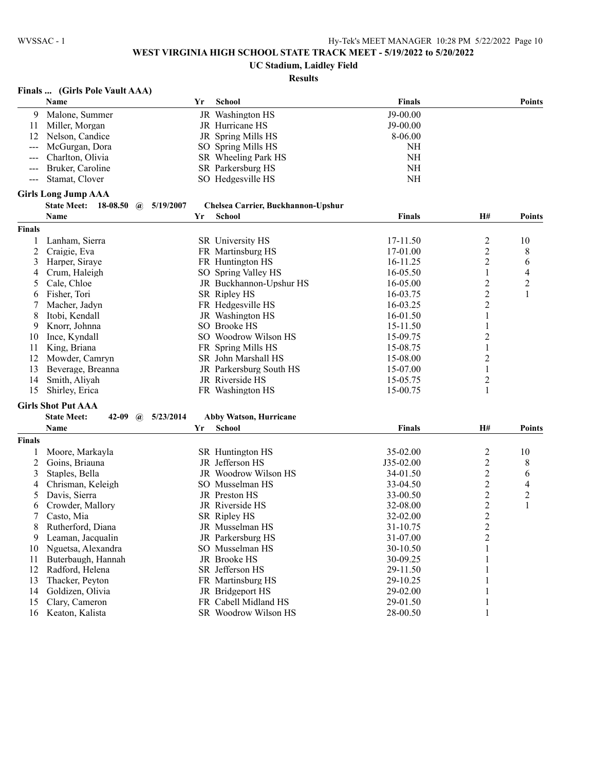# **UC Stadium, Laidley Field**

# **Results**

# **Finals ... (Girls Pole Vault AAA)**

|                | Name                                                        | Yr | School                             | Finals        |                         | <b>Points</b>    |
|----------------|-------------------------------------------------------------|----|------------------------------------|---------------|-------------------------|------------------|
| 9              | Malone, Summer                                              |    | JR Washington HS                   | J9-00.00      |                         |                  |
| 11             | Miller, Morgan                                              |    | JR Hurricane HS                    | J9-00.00      |                         |                  |
| 12             | Nelson, Candice                                             |    | JR Spring Mills HS                 | 8-06.00       |                         |                  |
|                | McGurgan, Dora                                              |    | SO Spring Mills HS                 | NH            |                         |                  |
|                | Charlton, Olivia                                            |    | SR Wheeling Park HS                | $\rm NH$      |                         |                  |
|                | Bruker, Caroline                                            |    | SR Parkersburg HS                  | $\rm NH$      |                         |                  |
|                | Stamat, Clover                                              |    | SO Hedgesville HS                  | $\rm NH$      |                         |                  |
|                | <b>Girls Long Jump AAA</b>                                  |    |                                    |               |                         |                  |
|                | 18-08.50<br><b>State Meet:</b><br>5/19/2007<br>$\mathbf{a}$ |    | Chelsea Carrier, Buckhannon-Upshur |               |                         |                  |
|                | Name                                                        | Yr | <b>School</b>                      | <b>Finals</b> | <b>H#</b>               | <b>Points</b>    |
| <b>Finals</b>  |                                                             |    |                                    |               |                         |                  |
| 1              | Lanham, Sierra                                              |    | SR University HS                   | 17-11.50      | $\overline{\mathbf{c}}$ | 10               |
| $\overline{c}$ | Craigie, Eva                                                |    | FR Martinsburg HS                  | 17-01.00      | $\overline{c}$          | 8                |
| 3              | Harper, Siraye                                              |    | FR Huntington HS                   | 16-11.25      | $\overline{c}$          | 6                |
| 4              | Crum, Haleigh                                               |    | SO Spring Valley HS                | 16-05.50      | $\mathbf{1}$            | 4                |
| 5              | Cale, Chloe                                                 |    | JR Buckhannon-Upshur HS            | 16-05.00      | $\overline{c}$          | $\boldsymbol{2}$ |
| 6              | Fisher, Tori                                                |    | SR Ripley HS                       | 16-03.75      | $\overline{c}$          | $\mathbf{1}$     |
| 7              | Macher, Jadyn                                               |    | FR Hedgesville HS                  | 16-03.25      | $\overline{\mathbf{c}}$ |                  |
| 8              | Itobi, Kendall                                              |    | JR Washington HS                   | 16-01.50      | 1                       |                  |
| 9              | Knorr, Johnna                                               |    | SO Brooke HS                       | 15-11.50      | 1                       |                  |
| 10             | Ince, Kyndall                                               |    | SO Woodrow Wilson HS               | 15-09.75      | $\overline{c}$          |                  |
| 11             | King, Briana                                                |    | FR Spring Mills HS                 | 15-08.75      | $\mathbf{1}$            |                  |
| 12             | Mowder, Camryn                                              |    | SR John Marshall HS                | 15-08.00      | $\overline{c}$          |                  |
| 13             | Beverage, Breanna                                           |    | JR Parkersburg South HS            | 15-07.00      | $\mathbf{1}$            |                  |
| 14             | Smith, Aliyah                                               |    | JR Riverside HS                    | 15-05.75      | $\overline{c}$          |                  |
| 15             | Shirley, Erica                                              |    | FR Washington HS                   | 15-00.75      | 1                       |                  |
|                | <b>Girls Shot Put AAA</b>                                   |    |                                    |               |                         |                  |
|                | <b>State Meet:</b><br>42-09<br>5/23/2014<br>$\mathbf{a}$    |    | Abby Watson, Hurricane             |               |                         |                  |
|                | Name                                                        | Yr | School                             | Finals        | <b>H#</b>               | <b>Points</b>    |
| <b>Finals</b>  |                                                             |    |                                    |               |                         |                  |
| 1              | Moore, Markayla                                             |    | SR Huntington HS                   | 35-02.00      | $\overline{\mathbf{c}}$ | 10               |
| $\overline{2}$ | Goins, Briauna                                              |    | JR Jefferson HS                    | J35-02.00     | $\overline{\mathbf{c}}$ | 8                |
| 3              | Staples, Bella                                              |    | JR Woodrow Wilson HS               | 34-01.50      | $\overline{c}$          | 6                |
| 4              | Chrisman, Keleigh                                           |    | SO Musselman HS                    | 33-04.50      | $\overline{\mathbf{c}}$ | 4                |
| 5              | Davis, Sierra                                               |    | JR Preston HS                      | 33-00.50      |                         | $\overline{c}$   |
| 6              | Crowder, Mallory                                            |    | JR Riverside HS                    | 32-08.00      | $\frac{2}{2}$           | $\mathbf{1}$     |
| 7              | Casto, Mia                                                  |    | SR Ripley HS                       | 32-02.00      | $\overline{c}$          |                  |
| 8              | Rutherford, Diana                                           |    | JR Musselman HS                    | 31-10.75      | $\overline{c}$          |                  |
| 9              | Leaman, Jacqualin                                           |    | JR Parkersburg HS                  | 31-07.00      | 2                       |                  |
| 10             | Nguetsa, Alexandra                                          |    | SO Musselman HS                    | 30-10.50      | 1                       |                  |
| 11             | Buterbaugh, Hannah                                          |    | JR Brooke HS                       | 30-09.25      | 1                       |                  |
| 12             | Radford, Helena                                             |    | SR Jefferson HS                    | 29-11.50      | 1                       |                  |
| 13             | Thacker, Peyton                                             |    | FR Martinsburg HS                  | 29-10.25      | 1                       |                  |
| 14             | Goldizen, Olivia                                            |    | JR Bridgeport HS                   | 29-02.00      | 1                       |                  |
| 15             | Clary, Cameron                                              |    | FR Cabell Midland HS               | 29-01.50      | 1                       |                  |
| 16             | Keaton, Kalista                                             |    | SR Woodrow Wilson HS               | 28-00.50      | 1                       |                  |